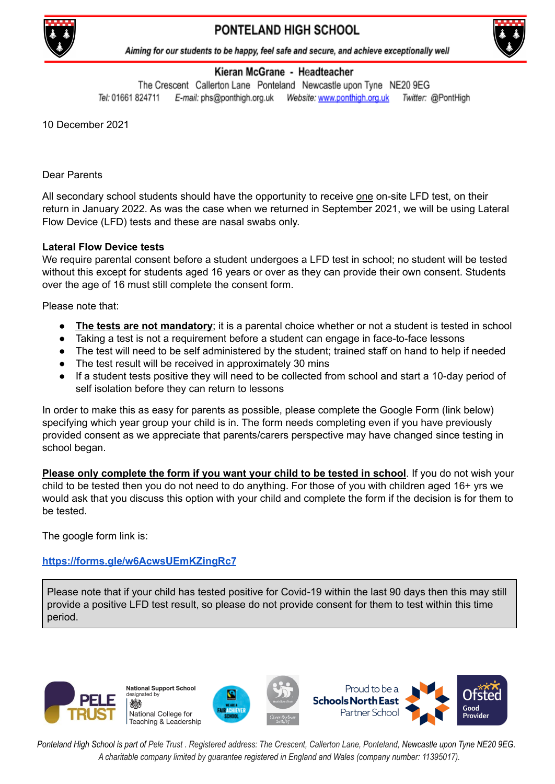

## PONTELAND HIGH SCHOOL



Aiming for our students to be happy, feel safe and secure, and achieve exceptionally well

## Kieran McGrane - Headteacher

The Crescent Callerton Lane Ponteland Newcastle upon Tyne NE20 9EG Tel: 01661 824711 Twitter: @PontHigh

10 December 2021

Dear Parents

All secondary school students should have the opportunity to receive one on-site LFD test, on their return in January 2022. As was the case when we returned in September 2021, we will be using Lateral Flow Device (LFD) tests and these are nasal swabs only.

## **Lateral Flow Device tests**

We require parental consent before a student undergoes a LFD test in school; no student will be tested without this except for students aged 16 years or over as they can provide their own consent. Students over the age of 16 must still complete the consent form.

Please note that:

- **The tests are not mandatory**; it is a parental choice whether or not a student is tested in school
- Taking a test is not a requirement before a student can engage in face-to-face lessons
- The test will need to be self administered by the student; trained staff on hand to help if needed
- The test result will be received in approximately 30 mins
- If a student tests positive they will need to be collected from school and start a 10-day period of self isolation before they can return to lessons

In order to make this as easy for parents as possible, please complete the Google Form (link below) specifying which year group your child is in. The form needs completing even if you have previously provided consent as we appreciate that parents/carers perspective may have changed since testing in school began.

**Please only complete the form if you want your child to be tested in school**. If you do not wish your child to be tested then you do not need to do anything. For those of you with children aged 16+ yrs we would ask that you discuss this option with your child and complete the form if the decision is for them to be tested.

The google form link is:

## **<https://forms.gle/w6AcwsUEmKZingRc7>**

Please note that if your child has tested positive for Covid-19 within the last 90 days then this may still provide a positive LFD test result, so please do not provide consent for them to test within this time period.



Ponteland High School is part of Pele Trust. Registered address: The Crescent, Callerton Lane, Ponteland, Newcastle upon Tyne NE20 9EG. *A charitable company limited by guarantee registered in England and Wales (company number: 11395017).*